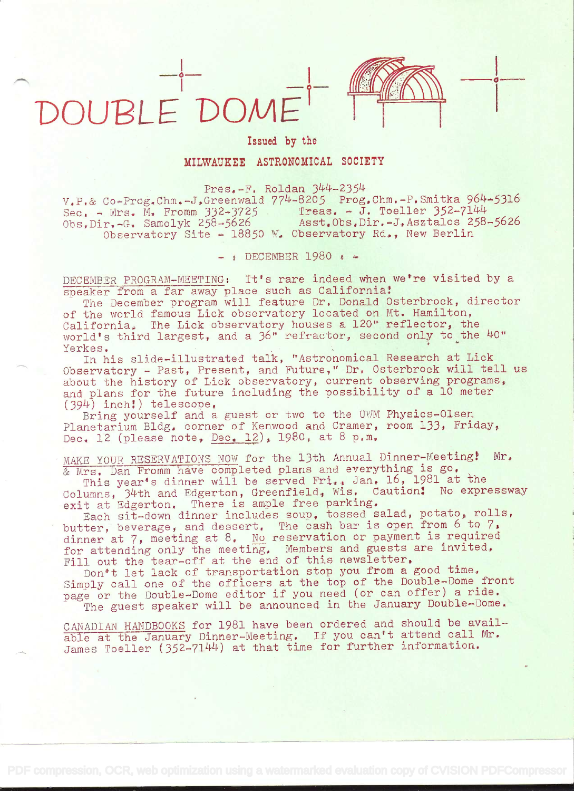## DOUPLE'OOME

## Issued by the

MILWAUKEE ASTRONOMICAL SOCIETY

 $Pres. -F.$  Roldan  $344-2354$ 

 $V_P$ .& Co-Prog.Chm.-J.Greenwald  $774-8205$  Prog.Chm.-P.Smitka 964-5316 Sec. - Mrs. M. Fromm  $332-3725$  Treas. - J. Toeller  $352-7144$ Obs,Dir,-G. Samolyk 258-5626 Asst.Obs.Dir.-J.Asztalos 258-5626 Observatory Site - 18850 W. Observatory Rd., New Berlin

 $-$  ; DECEMBER 1980  $\epsilon$   $-$ 

DECEMBER PROGRAM-MEETING: It's rare indeed when we're visited by a speaker from a far away place such as California!

The December program will feature Dr. Donald Osterbrock, director of the world famous Lick observatory located on Mt, Hamilton, California. The Lick observatory houses a 120" reflector, the world's third largest, and a 36" refractor, second only to the 40"<br>Yerkes.

Yerkes.<br>In his slide-illustrated talk, "Astronomical Research at Lick Observatory - Past, Present, and Future," Dr. Osterbrock will tell us about the history of Lick observatory, current observing programs, and plans for the future including the possibility of a 10 meter<br>(394) inch!) telescope.

Bring yourself and a guest or two to the UWM Physics-Olsen Planetarium Bldg. corner of Kenwood and Cramer, room 133, Friday, Dec. 12 (please note, Dec. 12), 1980, at 8 p.m.

MAKE YOUR RESERVATIONS NOW for the 13th Annual Dinner-Meeting! Mr. & Mrs. Dan Fromm have completed plans and everything is go.

This year's dinner will be served Fri., Jan. 16, 1981 at the Columns, 34th and Edgerton, Greenfield, Wis. Caution! No expressway exit at Edgerton. There is ample free parking.

Each sit-down dinner includes soup, tossed salad, potato, rolls, butter, beverage, and dessert. The cash bar is open from 6 to 7, dinner at 7, meeting at 8. No reservation or payment is required for attending only the meeting. Members and guests are invited. Fill out the tear-off at the end of this newsletter.

Don<sup>+</sup>t let lack of transportation stop you from a good time. Simply call one of the officers at the top of the Double-Dome front page or the Double-Dome editor if you need (or can offer) a ride. The guest speaker will be announced in the January Double-Dome.

CANADIAN HANDBOOKS for 1981 have been ordered and should be available at the January Dinner-Meeting. If you can't attend call Mr. James Toeller (352-7144) at that time for further information.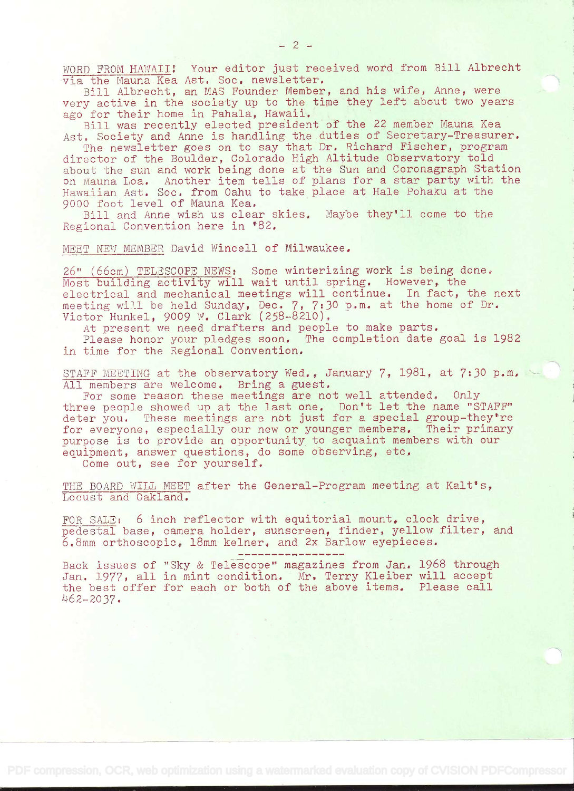WORD FROM HAWAII! Your editor just received word from Bill Albrecht via the Mauna Kea Ast. Soc. newsletter.

Bill Albrecht, an MAS Founder Member, and his wife, Anne, were very active in the society up to the time they left about two years ago for their home in Pahala, Hawaii.

Bill was recently elected president of the 22 member Mauna Kea Ast. Society and Anne is handling the duties of Secretary-Treasurer.

The newsletter goes on to say that Dr. Richard Fischer, program director of the Boulder, Colorado High Altitude Observatory told about the sun and work being done at the Sun and Coronagraph Station on Mauna Loa. Another item tells of plans for a star party with the Hawaiian Ast. Soc. from Oahu to take place at Hale Pohaku at the 9000 foot level of Mauna Kea.

Bill and Anne wish us clear skies. Maybe they'll come to the Regional Convention here in '82.

MEET NEW MEMBER David Wincell of Milwaukee,

26" (66cm) TELESCOPE NEWS: Some winterizing work is being done,  $M$ ost building activity will wait until spring. However, the electrical and mechanical meetings will continue. In fact, the next meeting will be held Sunday, Dec. 7, 7:30 p.m. at the home of Dr. Victor Hunkel, 9009 W. Clark (258-8210).

At present we need drafters and people to make parts.

Please honor your pledges soon. The completion date goal is 1982 in time for the Regional Convention.

STAFF MEETING at the observatory Wed., January 7, 1981, at 7:30 p.m. All members are welcome. Bring a guest.

For some reason these meetings are not well attended. Only three people showed up at the last one. Don't let the name "STAFF" deter you. These meetings are not just for a special group-they're for everyone, especially our new or younger members. Their primary purpose is to provide an opportunity to acquaint members with our equipment, answer questions, do some observing, etc.

Come out, see for yourself,

THE BOARD WILL MEET after the General-Program meeting at Kalt's, Locust and Oakland.

FOR SALE: 6 inch reflector with equitorial mount. clock drive, pedestal base, camera holder, sunscreen, finder, yellow filter, and 6.8mm orthoscopic, 18mm kelner, and 2x Barlow eyepieces.

---------------

Back issues of "Sky & Telescope" magazines from Jan. 1968 through Jan. 1977, all in mint condition, Mr. Terry Kleiber will accept the best offer for each or both of the above items. Please call L62\_2O3?.